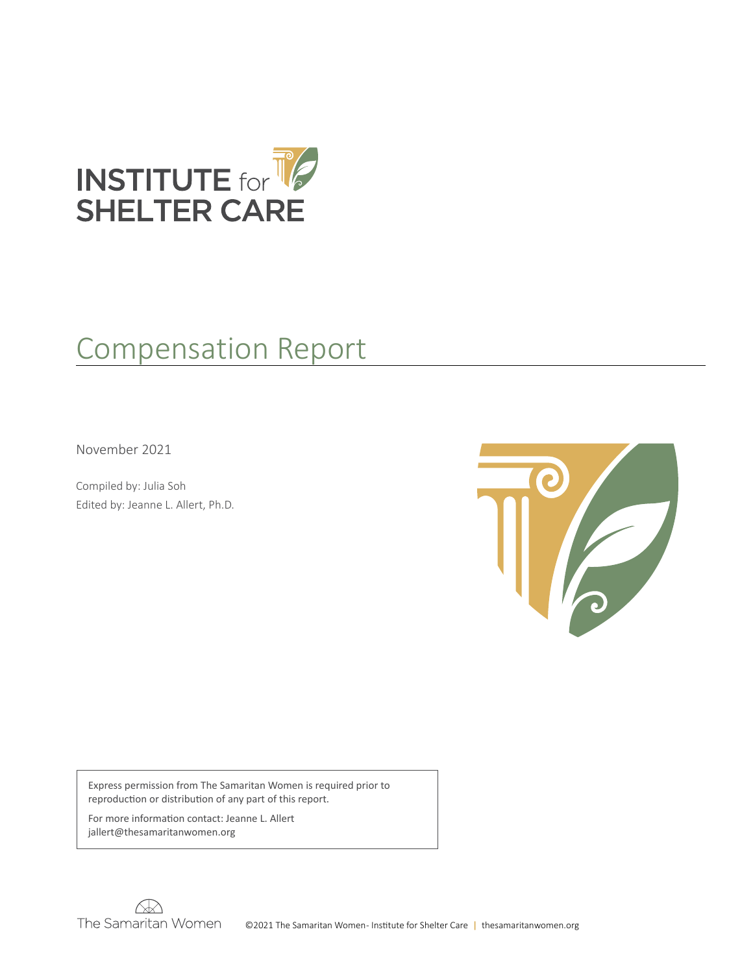

# Compensation Report

November 2021

Compiled by: Julia Soh Edited by: Jeanne L. Allert, Ph.D.



Express permission from The Samaritan Women is required prior to reproduction or distribution of any part of this report.

For more information contact: Jeanne L. Allert jallert@thesamaritanwomen.org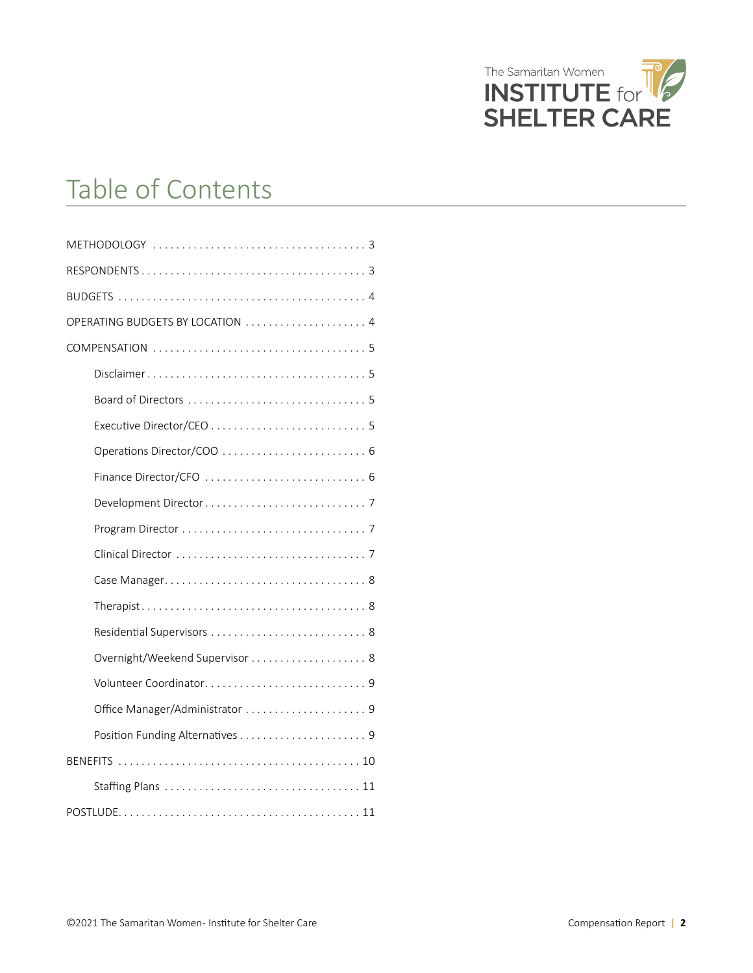

# Table of Contents

| OPERATING BUDGETS BY LOCATION  4 |
|----------------------------------|
|                                  |
|                                  |
|                                  |
|                                  |
|                                  |
|                                  |
|                                  |
|                                  |
|                                  |
|                                  |
|                                  |
|                                  |
|                                  |
|                                  |
|                                  |
|                                  |
|                                  |
|                                  |
|                                  |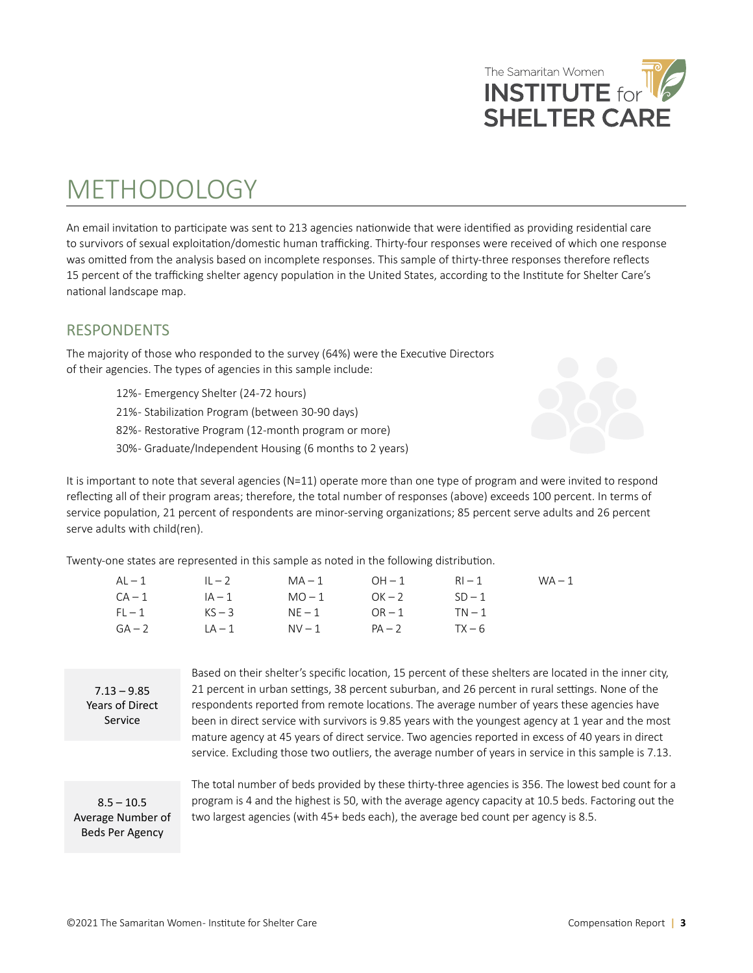# <span id="page-2-0"></span>METHODOLOGY

An email invitation to participate was sent to 213 agencies nationwide that were identified as providing residential care to survivors of sexual exploitation/domestic human trafficking. Thirty-four responses were received of which one response was omitted from the analysis based on incomplete responses. This sample of thirty-three responses therefore reflects 15 percent of the trafficking shelter agency population in the United States, according to the Institute for Shelter Care's national landscape map.

## RESPONDENTS

The majority of those who responded to the survey (64%) were the Executive Directors of their agencies. The types of agencies in this sample include:

- 12% Emergency Shelter (24-72 hours)
- 21% Stabilization Program (between 30-90 days)
- 82% Restorative Program (12-month program or more)
- 30% Graduate/Independent Housing (6 months to 2 years)

It is important to note that several agencies  $(N=11)$  operate more than one type of program and were invited to respond reflecting all of their program areas; therefore, the total number of responses (above) exceeds 100 percent. In terms of service population, 21 percent of respondents are minor-serving organizations; 85 percent serve adults and 26 percent serve adults with child(ren).

Twenty-one states are represented in this sample as noted in the following distribution.

| AL — 1   | $L - 2$  | $MA-1$ | $OH-1$   | $RI - 1$ | $WA - 1$ |
|----------|----------|--------|----------|----------|----------|
| $CA-1$   | $IA-1$   | $MO-1$ | $OK - 2$ | $SD-1$   |          |
| $FI - 1$ | $KS - 3$ | $NE-1$ | $OR-1$   | $TN-1$   |          |
| $GA-2$   | $LA-1$   | $NV-1$ | $PA - 2$ | $TX - 6$ |          |

 $7.13 - 9.85$ Years of Direct Service

Based on their shelter's specific location, 15 percent of these shelters are located in the inner city, 21 percent in urban settings, 38 percent suburban, and 26 percent in rural settings. None of the respondents reported from remote locations. The average number of years these agencies have been in direct service with survivors is 9.85 years with the youngest agency at 1 year and the most mature agency at 45 years of direct service. Two agencies reported in excess of 40 years in direct service. Excluding those two outliers, the average number of years in service in this sample is 7.13.

 $8.5 - 10.5$ Average Number of Beds Per Agency

The total number of beds provided by these thirty-three agencies is 356. The lowest bed count for a program is 4 and the highest is 50, with the average agency capacity at 10.5 beds. Factoring out the two largest agencies (with 45+ beds each), the average bed count per agency is 8.5.



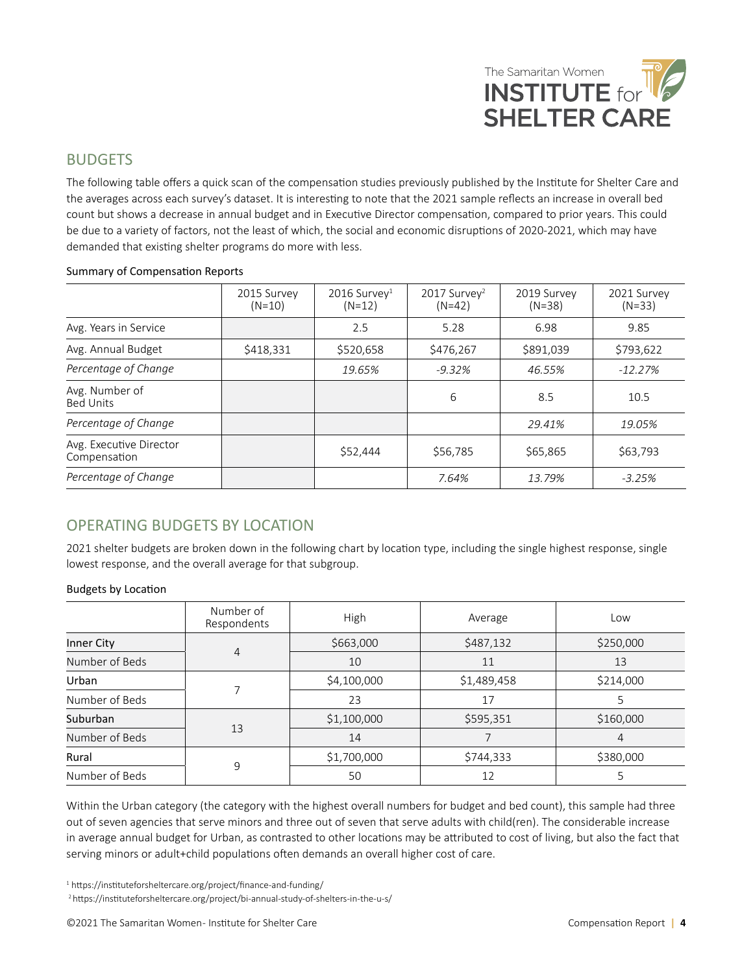

#### <span id="page-3-0"></span>BUDGETS

The following table offers a quick scan of the compensation studies previously published by the Institute for Shelter Care and the averages across each survey's dataset. It is interesting to note that the 2021 sample reflects an increase in overall bed count but shows a decrease in annual budget and in Executive Director compensation, compared to prior years. This could be due to a variety of factors, not the least of which, the social and economic disruptions of 2020-2021, which may have demanded that existing shelter programs do more with less.

| 2015 Survey<br>$(N=10)$ | $2016$ Survey <sup>1</sup><br>$(N=12)$ | 2017 Survey <sup>2</sup><br>$(N=42)$ | 2019 Survey<br>$(N=38)$ | 2021 Survey<br>$(N=33)$ |
|-------------------------|----------------------------------------|--------------------------------------|-------------------------|-------------------------|
|                         | 2.5                                    | 5.28                                 | 6.98                    | 9.85                    |
| \$418,331               | \$520,658                              | \$476,267                            | \$891,039               | \$793,622               |
|                         | 19.65%                                 | $-9.32%$                             | 46.55%                  | $-12.27%$               |
|                         |                                        | 6                                    | 8.5                     | 10.5                    |
|                         |                                        |                                      | 29.41%                  | 19.05%                  |
|                         | \$52,444                               | \$56,785                             | \$65,865                | \$63,793                |
|                         |                                        | 7.64%                                | 13.79%                  | $-3.25%$                |
|                         |                                        |                                      |                         |                         |

#### Summary of Compensation Reports

#### OPERATING BUDGETS BY LOCATION

2021 shelter budgets are broken down in the following chart by location type, including the single highest response, single lowest response, and the overall average for that subgroup.

#### Budgets by Location

|                | Number of<br>Respondents | High        | Average     | Low       |
|----------------|--------------------------|-------------|-------------|-----------|
| Inner City     |                          | \$663,000   | \$487,132   | \$250,000 |
| Number of Beds | $\overline{4}$           | 10          | 11          | 13        |
| Urban          | ⇁                        | \$4,100,000 | \$1,489,458 | \$214,000 |
| Number of Beds |                          | 23          | 17          |           |
| Suburban       |                          | \$1,100,000 | \$595,351   | \$160,000 |
| Number of Beds | 13                       | 14          |             | 4         |
| Rural          |                          | \$1,700,000 | \$744,333   | \$380,000 |
| Number of Beds | 9                        | 50          | 12          |           |

Within the Urban category (the category with the highest overall numbers for budget and bed count), this sample had three out of seven agencies that serve minors and three out of seven that serve adults with child(ren). The considerable increase in average annual budget for Urban, as contrasted to other locations may be attributed to cost of living, but also the fact that serving minors or adult+child populations often demands an overall higher cost of care.

1 https://instituteforsheltercare.org/project/finance-and-funding/

2 https://instituteforsheltercare.org/project/bi-annual-study-of-shelters-in-the-u-s/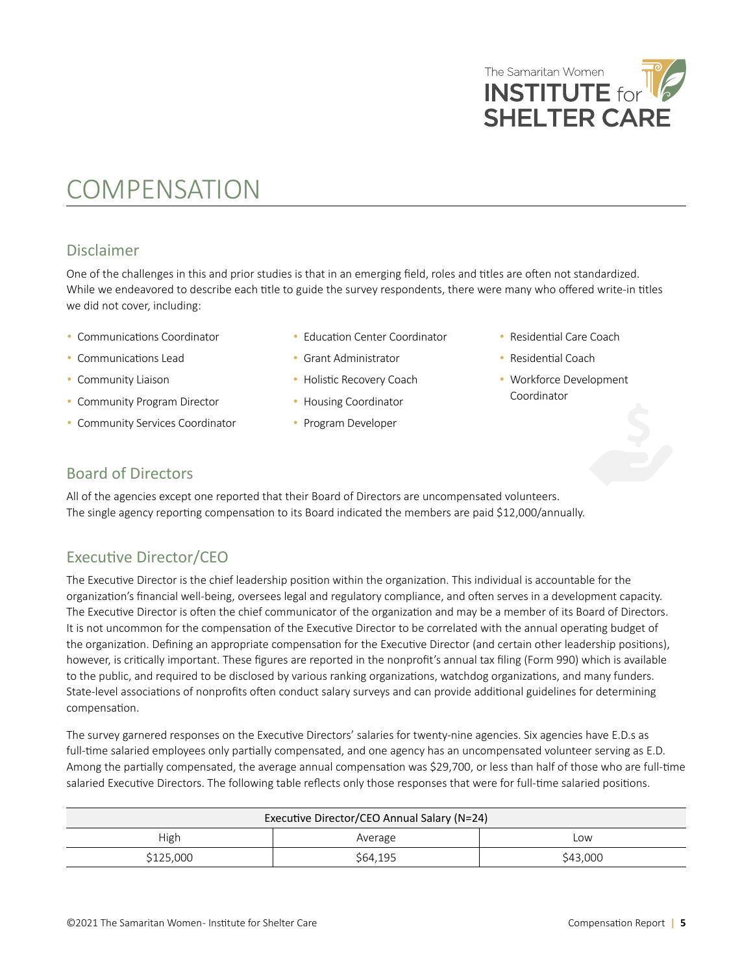

## <span id="page-4-0"></span>COMPENSATION

### Disclaimer

One of the challenges in this and prior studies is that in an emerging field, roles and titles are often not standardized. While we endeavored to describe each title to guide the survey respondents, there were many who offered write-in titles we did not cover, including:

- Communications Coordinator
- Communications Lead
- Community Liaison
- Community Program Director
- Community Services Coordinator
- Education Center Coordinator

• Grant Administrator • Holistic Recovery Coach • Housing Coordinator • Program Developer

- - Residential Coach
	- Workforce Development Coordinator

• Residential Care Coach

#### Board of Directors

All of the agencies except one reported that their Board of Directors are uncompensated volunteers. The single agency reporting compensation to its Board indicated the members are paid \$12,000/annually.

### Executive Director/CEO

The Executive Director is the chief leadership position within the organization. This individual is accountable for the organization's financial well-being, oversees legal and regulatory compliance, and often serves in a development capacity. The Executive Director is often the chief communicator of the organization and may be a member of its Board of Directors. It is not uncommon for the compensation of the Executive Director to be correlated with the annual operating budget of the organization. Defining an appropriate compensation for the Executive Director (and certain other leadership positions), however, is critically important. These figures are reported in the nonprofit's annual tax filing (Form 990) which is available to the public, and required to be disclosed by various ranking organizations, watchdog organizations, and many funders. State-level associations of nonprofits often conduct salary surveys and can provide additional guidelines for determining compensation.

The survey garnered responses on the Executive Directors' salaries for twenty-nine agencies. Six agencies have E.D.s as full-time salaried employees only partially compensated, and one agency has an uncompensated volunteer serving as E.D. Among the partially compensated, the average annual compensation was \$29,700, or less than half of those who are full-time salaried Executive Directors. The following table reflects only those responses that were for full-time salaried positions.

| Executive Director/CEO Annual Salary (N=24) |          |          |  |
|---------------------------------------------|----------|----------|--|
| High<br>Average<br>Low                      |          |          |  |
| \$125,000                                   | \$64,195 | \$43,000 |  |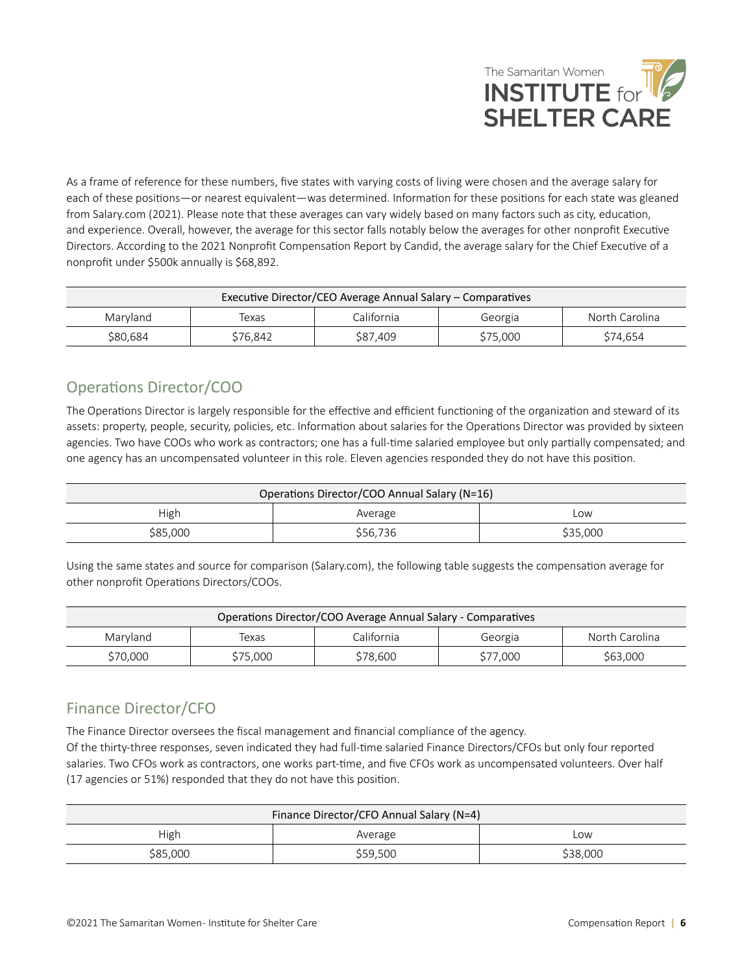

<span id="page-5-0"></span>As a frame of reference for these numbers, five states with varying costs of living were chosen and the average salary for each of these positions—or nearest equivalent—was determined. Information for these positions for each state was gleaned from Salary.com (2021). Please note that these averages can vary widely based on many factors such as city, education, and experience. Overall, however, the average for this sector falls notably below the averages for other nonprofit Executive Directors. According to the 2021 Nonprofit Compensation Report by Candid, the average salary for the Chief Executive of a nonprofit under \$500k annually is \$68,892.

| Executive Director/CEO Average Annual Salary – Comparatives |          |            |          |                |
|-------------------------------------------------------------|----------|------------|----------|----------------|
| Maryland                                                    | Texas    | California | Georgia  | North Carolina |
| \$80,684                                                    | \$76.842 | \$87.409   | \$75,000 | \$74.654       |

## Operations Director/COO

The Operations Director is largely responsible for the effective and efficient functioning of the organization and steward of its assets: property, people, security, policies, etc. Information about salaries for the Operations Director was provided by sixteen agencies. Two have COOs who work as contractors; one has a full-time salaried employee but only partially compensated; and one agency has an uncompensated volunteer in this role. Eleven agencies responded they do not have this position.

| Operations Director/COO Annual Salary (N=16) |          |          |  |  |
|----------------------------------------------|----------|----------|--|--|
| High<br>Average<br>Low                       |          |          |  |  |
| \$85,000                                     | \$56,736 | \$35,000 |  |  |

Using the same states and source for comparison (Salary.com), the following table suggests the compensation average for other nonprofit Operations Directors/COOs.

| Operations Director/COO Average Annual Salary - Comparatives |          |          |          |          |
|--------------------------------------------------------------|----------|----------|----------|----------|
| California<br>North Carolina<br>Marvland<br>Texas<br>Georgia |          |          |          |          |
| \$70,000                                                     | \$75,000 | \$78,600 | \$77,000 | \$63,000 |

## Finance Director/CFO

The Finance Director oversees the fiscal management and financial compliance of the agency.

Of the thirty-three responses, seven indicated they had full-time salaried Finance Directors/CFOs but only four reported salaries. Two CFOs work as contractors, one works part-time, and five CFOs work as uncompensated volunteers. Over half (17 agencies or 51%) responded that they do not have this position.

| Finance Director/CFO Annual Salary (N=4) |          |          |  |  |
|------------------------------------------|----------|----------|--|--|
| High<br>Average<br>Low                   |          |          |  |  |
| \$85,000                                 | \$59,500 | \$38,000 |  |  |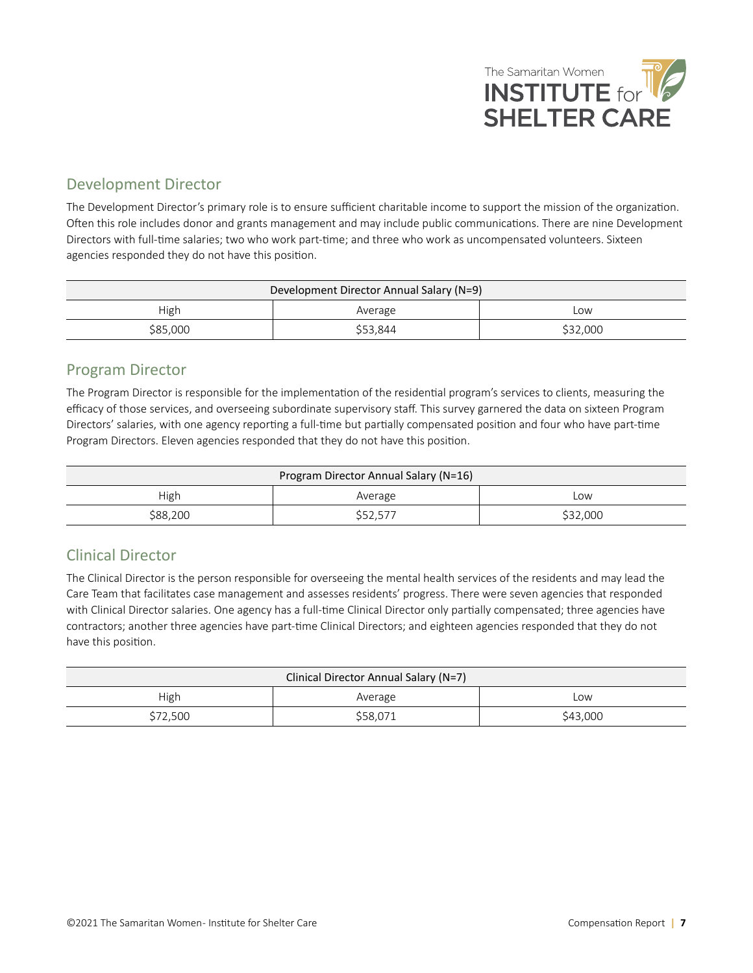

### <span id="page-6-0"></span>Development Director

The Development Director's primary role is to ensure sufficient charitable income to support the mission of the organization. Often this role includes donor and grants management and may include public communications. There are nine Development Directors with full-time salaries; two who work part-time; and three who work as uncompensated volunteers. Sixteen agencies responded they do not have this position.

| Development Director Annual Salary (N=9) |          |          |  |  |
|------------------------------------------|----------|----------|--|--|
| High<br>Low<br>Average                   |          |          |  |  |
| \$85,000                                 | \$53,844 | \$32,000 |  |  |

#### Program Director

The Program Director is responsible for the implementation of the residential program's services to clients, measuring the efficacy of those services, and overseeing subordinate supervisory staff. This survey garnered the data on sixteen Program Directors' salaries, with one agency reporting a full-time but partially compensated position and four who have part-time Program Directors. Eleven agencies responded that they do not have this position.

| Program Director Annual Salary (N=16) |          |          |  |
|---------------------------------------|----------|----------|--|
| High<br>Average<br>Low                |          |          |  |
| \$88,200                              | \$52,577 | \$32,000 |  |

## Clinical Director

The Clinical Director is the person responsible for overseeing the mental health services of the residents and may lead the Care Team that facilitates case management and assesses residents' progress. There were seven agencies that responded with Clinical Director salaries. One agency has a full-time Clinical Director only partially compensated; three agencies have contractors; another three agencies have part-time Clinical Directors; and eighteen agencies responded that they do not have this position.

| Clinical Director Annual Salary (N=7) |          |          |  |  |
|---------------------------------------|----------|----------|--|--|
| High<br>Average<br>Low                |          |          |  |  |
| \$72,500                              | \$58,071 | \$43,000 |  |  |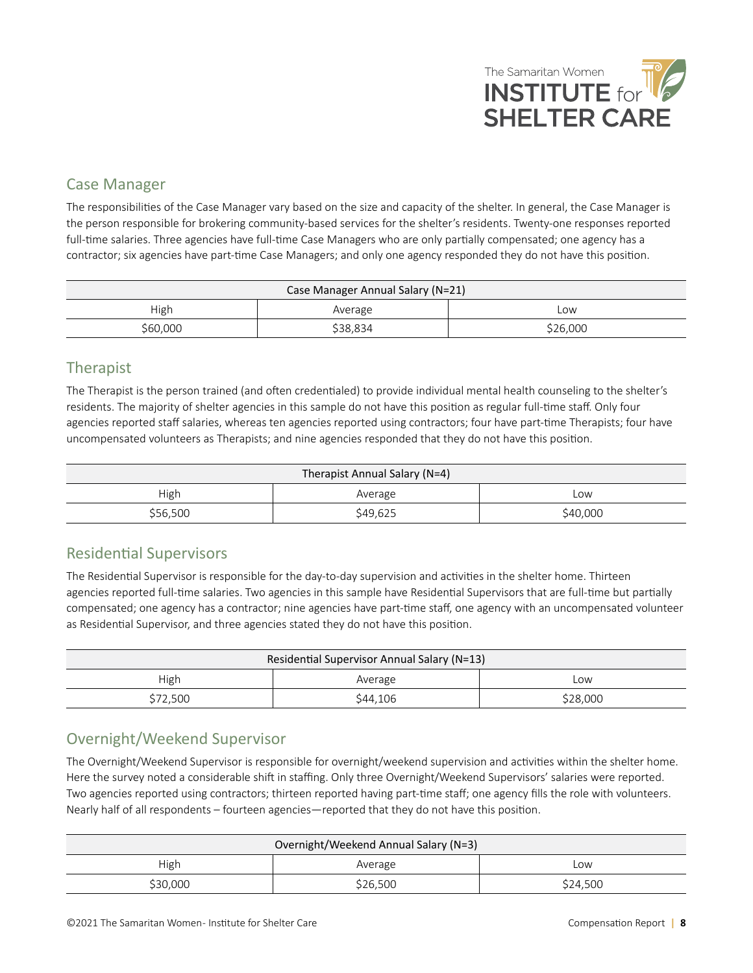

### <span id="page-7-0"></span>Case Manager

The responsibilities of the Case Manager vary based on the size and capacity of the shelter. In general, the Case Manager is the person responsible for brokering community-based services for the shelter's residents. Twenty-one responses reported full-time salaries. Three agencies have full-time Case Managers who are only partially compensated; one agency has a contractor; six agencies have part-time Case Managers; and only one agency responded they do not have this position.

| Case Manager Annual Salary (N=21) |          |          |
|-----------------------------------|----------|----------|
| High                              | Average  | LOW      |
| \$60,000                          | \$38,834 | \$26,000 |

#### Therapist

The Therapist is the person trained (and often credentialed) to provide individual mental health counseling to the shelter's residents. The majority of shelter agencies in this sample do not have this position as regular full-time staff. Only four agencies reported staff salaries, whereas ten agencies reported using contractors; four have part-time Therapists; four have uncompensated volunteers as Therapists; and nine agencies responded that they do not have this position.

| Therapist Annual Salary (N=4) |          |          |
|-------------------------------|----------|----------|
| High                          | Average  | Low      |
| \$56,500                      | \$49,625 | \$40,000 |

### Residential Supervisors

The Residential Supervisor is responsible for the day-to-day supervision and activities in the shelter home. Thirteen agencies reported full-time salaries. Two agencies in this sample have Residential Supervisors that are full-time but partially compensated; one agency has a contractor; nine agencies have part-time staff, one agency with an uncompensated volunteer as Residential Supervisor, and three agencies stated they do not have this position.

| Residential Supervisor Annual Salary (N=13) |          |          |
|---------------------------------------------|----------|----------|
| High                                        | Average  | Low      |
| \$72,500                                    | \$44,106 | \$28,000 |

## Overnight/Weekend Supervisor

The Overnight/Weekend Supervisor is responsible for overnight/weekend supervision and activities within the shelter home. Here the survey noted a considerable shift in staffing. Only three Overnight/Weekend Supervisors' salaries were reported. Two agencies reported using contractors; thirteen reported having part-time staff; one agency fills the role with volunteers. Nearly half of all respondents – fourteen agencies—reported that they do not have this position.

| Overnight/Weekend Annual Salary (N=3) |          |          |
|---------------------------------------|----------|----------|
| High                                  | Average  | Low      |
| \$30,000                              | \$26,500 | \$24,500 |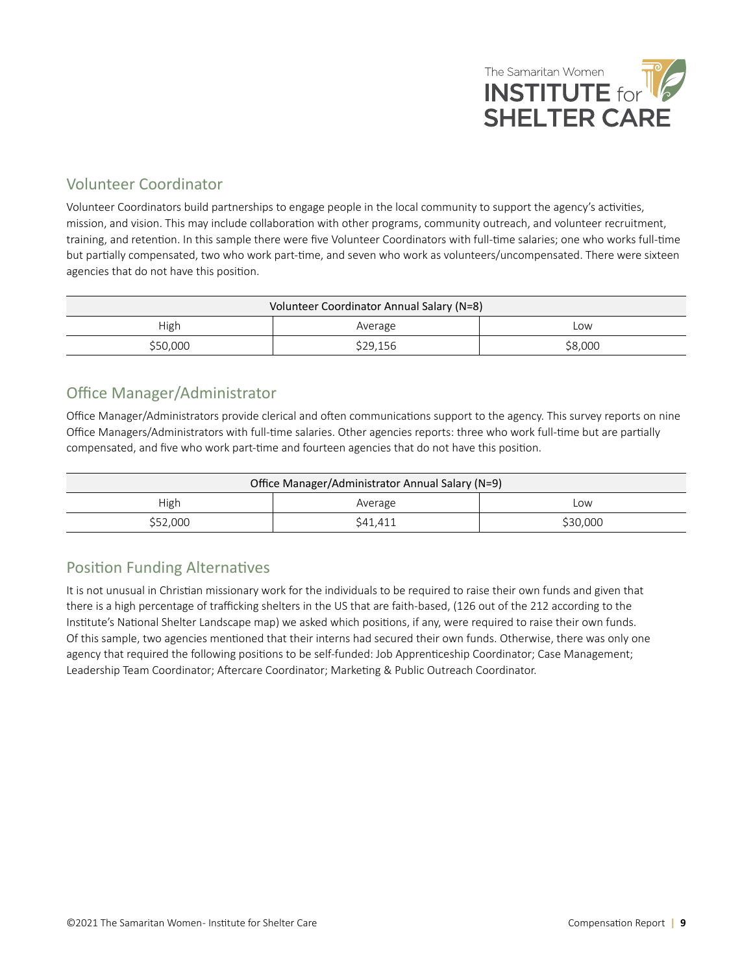

### <span id="page-8-0"></span>Volunteer Coordinator

Volunteer Coordinators build partnerships to engage people in the local community to support the agency's activities, mission, and vision. This may include collaboration with other programs, community outreach, and volunteer recruitment, training, and retention. In this sample there were five Volunteer Coordinators with full-time salaries; one who works full-time but partially compensated, two who work part-time, and seven who work as volunteers/uncompensated. There were sixteen agencies that do not have this position.

| Volunteer Coordinator Annual Salary (N=8) |          |         |
|-------------------------------------------|----------|---------|
| High                                      | Average  | Low     |
| \$50,000                                  | \$29,156 | \$8,000 |

### Office Manager/Administrator

Office Manager/Administrators provide clerical and often communications support to the agency. This survey reports on nine Office Managers/Administrators with full-time salaries. Other agencies reports: three who work full-time but are partially compensated, and five who work part-time and fourteen agencies that do not have this position.

| Office Manager/Administrator Annual Salary (N=9) |          |          |
|--------------------------------------------------|----------|----------|
| High                                             | Average  | Low      |
| \$52,000                                         | \$41,411 | \$30,000 |

### Position Funding Alternatives

It is not unusual in Christian missionary work for the individuals to be required to raise their own funds and given that there is a high percentage of trafficking shelters in the US that are faith-based, (126 out of the 212 according to the Institute's National Shelter Landscape map) we asked which positions, if any, were required to raise their own funds. Of this sample, two agencies mentioned that their interns had secured their own funds. Otherwise, there was only one agency that required the following positions to be self-funded: Job Apprenticeship Coordinator; Case Management; Leadership Team Coordinator; Aftercare Coordinator; Marketing & Public Outreach Coordinator.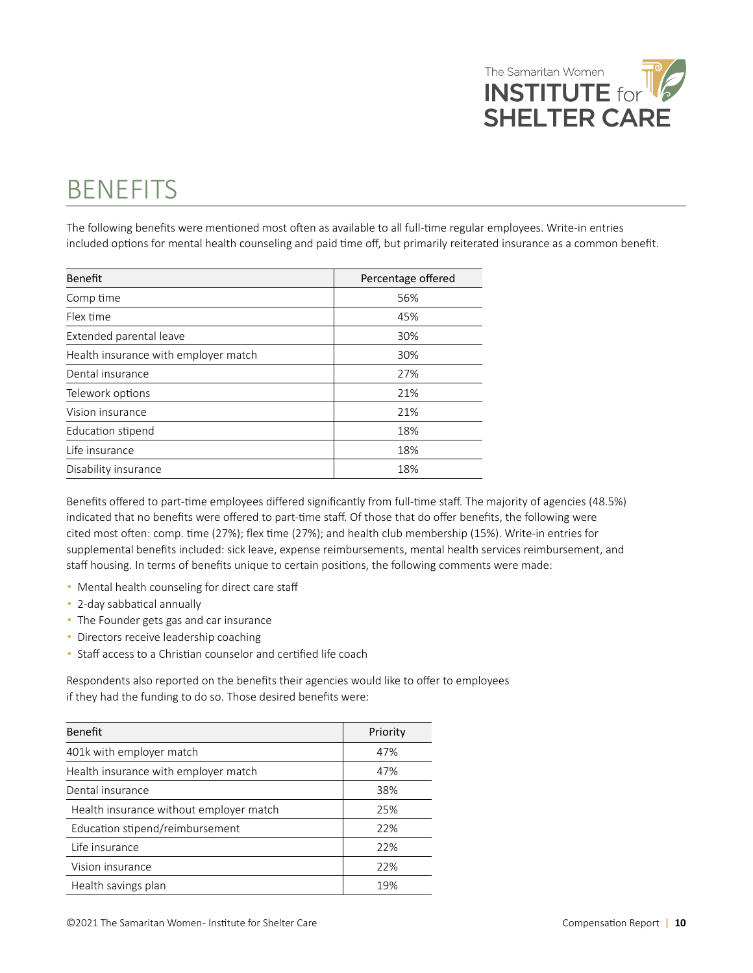

# <span id="page-9-0"></span>**BENEFITS**

The following benefits were mentioned most often as available to all full-time regular employees. Write-in entries included options for mental health counseling and paid time off, but primarily reiterated insurance as a common benefit.

| Benefit                              | Percentage offered |
|--------------------------------------|--------------------|
| Comp time                            | 56%                |
| Flex time                            | 45%                |
| Extended parental leave              | 30%                |
| Health insurance with employer match | 30%                |
| Dental insurance                     | 27%                |
| Telework options                     | 21%                |
| Vision insurance                     | 21%                |
| Education stipend                    | 18%                |
| Life insurance                       | 18%                |
| Disability insurance                 | 18%                |

Benefits offered to part-time employees differed significantly from full-time staff. The majority of agencies (48.5%) indicated that no benefits were offered to part-time staff. Of those that do offer benefits, the following were cited most often: comp. time (27%); flex time (27%); and health club membership (15%). Write-in entries for supplemental benefits included: sick leave, expense reimbursements, mental health services reimbursement, and staff housing. In terms of benefits unique to certain positions, the following comments were made:

- Mental health counseling for direct care staff
- 2-day sabbatical annually
- The Founder gets gas and car insurance
- Directors receive leadership coaching
- Staff access to a Christian counselor and certified life coach

Respondents also reported on the benefits their agencies would like to offer to employees if they had the funding to do so. Those desired benefits were:

| <b>Benefit</b>                          | Priority |
|-----------------------------------------|----------|
| 401k with employer match                | 47%      |
| Health insurance with employer match    | 47%      |
| Dental insurance                        | 38%      |
| Health insurance without employer match | 25%      |
| Education stipend/reimbursement         | 22%      |
| Life insurance                          | 22%      |
| Vision insurance                        | 22%      |
| Health savings plan                     | 19%      |